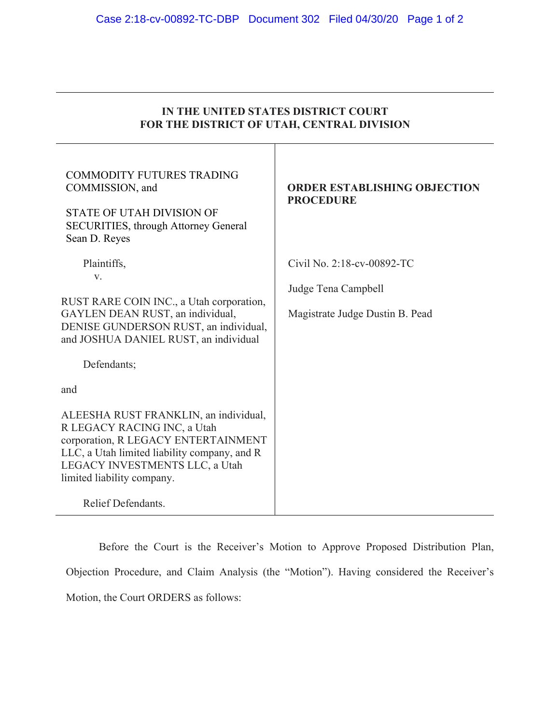| IN THE UNITED STATES DISTRICT COURT<br>FOR THE DISTRICT OF UTAH, CENTRAL DIVISION                                                                                                                                                                 |                                                                                      |
|---------------------------------------------------------------------------------------------------------------------------------------------------------------------------------------------------------------------------------------------------|--------------------------------------------------------------------------------------|
| <b>COMMODITY FUTURES TRADING</b><br>COMMISSION, and<br><b>STATE OF UTAH DIVISION OF</b><br><b>SECURITIES, through Attorney General</b><br>Sean D. Reyes                                                                                           | <b>ORDER ESTABLISHING OBJECTION</b><br><b>PROCEDURE</b>                              |
| Plaintiffs,<br>V.<br>RUST RARE COIN INC., a Utah corporation,<br>GAYLEN DEAN RUST, an individual,<br>DENISE GUNDERSON RUST, an individual,<br>and JOSHUA DANIEL RUST, an individual<br>Defendants;<br>and                                         | Civil No. 2:18-cv-00892-TC<br>Judge Tena Campbell<br>Magistrate Judge Dustin B. Pead |
| ALEESHA RUST FRANKLIN, an individual,<br>R LEGACY RACING INC, a Utah<br>corporation, R LEGACY ENTERTAINMENT<br>LLC, a Utah limited liability company, and R<br>LEGACY INVESTMENTS LLC, a Utah<br>limited liability company.<br>Relief Defendants. |                                                                                      |

Before the Court is the Receiver's Motion to Approve Proposed Distribution Plan, Objection Procedure, and Claim Analysis (the "Motion"). Having considered the Receiver's Motion, the Court ORDERS as follows: